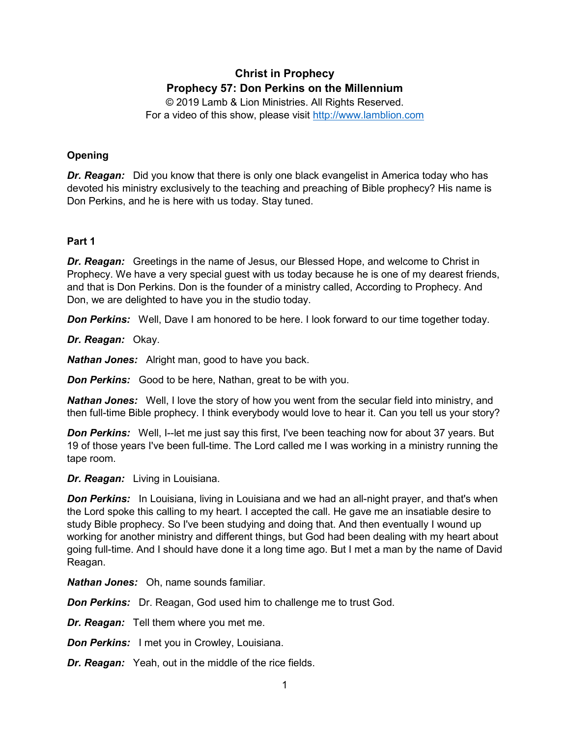# **Christ in Prophecy Prophecy 57: Don Perkins on the Millennium**

© 2019 Lamb & Lion Ministries. All Rights Reserved. For a video of this show, please visit [http://www.lamblion.com](http://www.lamblion.com/)

# **Opening**

*Dr. Reagan:* Did you know that there is only one black evangelist in America today who has devoted his ministry exclusively to the teaching and preaching of Bible prophecy? His name is Don Perkins, and he is here with us today. Stay tuned.

# **Part 1**

*Dr. Reagan:* Greetings in the name of Jesus, our Blessed Hope, and welcome to Christ in Prophecy. We have a very special guest with us today because he is one of my dearest friends, and that is Don Perkins. Don is the founder of a ministry called, According to Prophecy. And Don, we are delighted to have you in the studio today.

**Don Perkins:** Well, Dave I am honored to be here. I look forward to our time together today.

*Dr. Reagan:* Okay.

*Nathan Jones:* Alright man, good to have you back.

*Don Perkins:* Good to be here, Nathan, great to be with you.

*Nathan Jones:* Well, I love the story of how you went from the secular field into ministry, and then full-time Bible prophecy. I think everybody would love to hear it. Can you tell us your story?

**Don Perkins:** Well, I--let me just say this first, I've been teaching now for about 37 years. But 19 of those years I've been full-time. The Lord called me I was working in a ministry running the tape room.

*Dr. Reagan:* Living in Louisiana.

**Don Perkins:** In Louisiana, living in Louisiana and we had an all-night prayer, and that's when the Lord spoke this calling to my heart. I accepted the call. He gave me an insatiable desire to study Bible prophecy. So I've been studying and doing that. And then eventually I wound up working for another ministry and different things, but God had been dealing with my heart about going full-time. And I should have done it a long time ago. But I met a man by the name of David Reagan.

*Nathan Jones:* Oh, name sounds familiar.

**Don Perkins:** Dr. Reagan, God used him to challenge me to trust God.

*Dr. Reagan:* Tell them where you met me.

*Don Perkins:* I met you in Crowley, Louisiana.

*Dr. Reagan:* Yeah, out in the middle of the rice fields.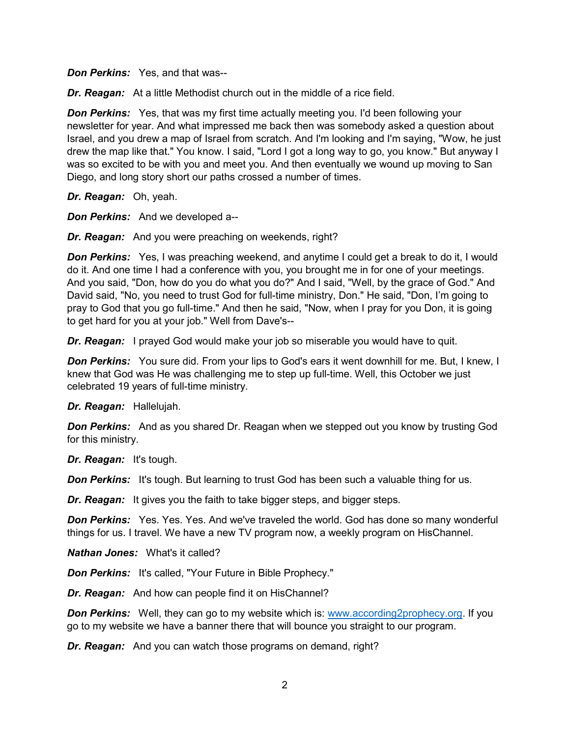*Don Perkins:* Yes, and that was--

*Dr. Reagan:* At a little Methodist church out in the middle of a rice field.

*Don Perkins:* Yes, that was my first time actually meeting you. I'd been following your newsletter for year. And what impressed me back then was somebody asked a question about Israel, and you drew a map of Israel from scratch. And I'm looking and I'm saying, "Wow, he just drew the map like that." You know. I said, "Lord I got a long way to go, you know." But anyway I was so excited to be with you and meet you. And then eventually we wound up moving to San Diego, and long story short our paths crossed a number of times.

*Dr. Reagan:* Oh, yeah.

*Don Perkins:* And we developed a--

*Dr. Reagan:* And you were preaching on weekends, right?

**Don Perkins:** Yes, I was preaching weekend, and anytime I could get a break to do it, I would do it. And one time I had a conference with you, you brought me in for one of your meetings. And you said, "Don, how do you do what you do?" And I said, "Well, by the grace of God." And David said, "No, you need to trust God for full-time ministry, Don." He said, "Don, I'm going to pray to God that you go full-time." And then he said, "Now, when I pray for you Don, it is going to get hard for you at your job." Well from Dave's--

*Dr. Reagan:* I prayed God would make your job so miserable you would have to quit.

**Don Perkins:** You sure did. From your lips to God's ears it went downhill for me. But, I knew, I knew that God was He was challenging me to step up full-time. Well, this October we just celebrated 19 years of full-time ministry.

*Dr. Reagan:* Hallelujah.

**Don Perkins:** And as you shared Dr. Reagan when we stepped out you know by trusting God for this ministry.

*Dr. Reagan:* It's tough.

**Don Perkins:** It's tough. But learning to trust God has been such a valuable thing for us.

*Dr. Reagan:* It gives you the faith to take bigger steps, and bigger steps.

**Don Perkins:** Yes. Yes. Yes. And we've traveled the world. God has done so many wonderful things for us. I travel. We have a new TV program now, a weekly program on HisChannel.

*Nathan Jones:* What's it called?

*Don Perkins:* It's called, "Your Future in Bible Prophecy."

*Dr. Reagan:* And how can people find it on HisChannel?

**Don Perkins:** Well, they can go to my website which is: www.according2prophecy.org. If you go to my website we have a banner there that will bounce you straight to our program.

*Dr. Reagan:* And you can watch those programs on demand, right?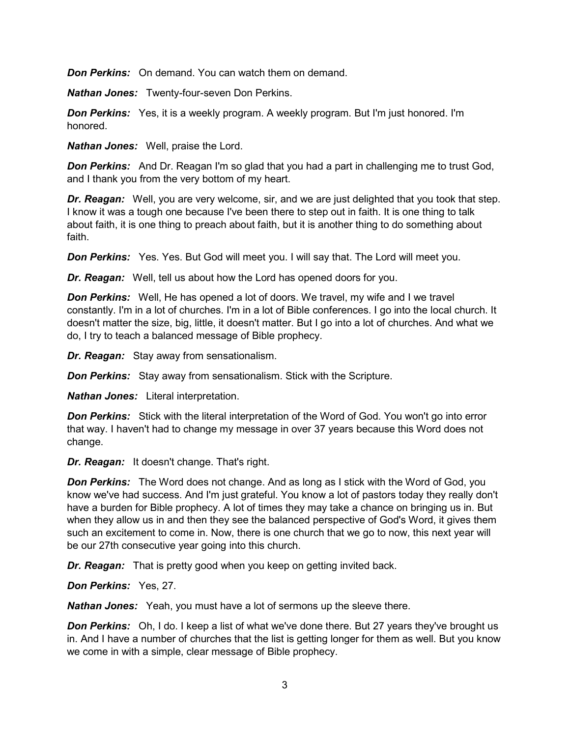*Don Perkins:* On demand. You can watch them on demand.

*Nathan Jones:* Twenty-four-seven Don Perkins.

*Don Perkins:* Yes, it is a weekly program. A weekly program. But I'm just honored. I'm honored.

*Nathan Jones:* Well, praise the Lord.

**Don Perkins:** And Dr. Reagan I'm so glad that you had a part in challenging me to trust God, and I thank you from the very bottom of my heart.

*Dr. Reagan:* Well, you are very welcome, sir, and we are just delighted that you took that step. I know it was a tough one because I've been there to step out in faith. It is one thing to talk about faith, it is one thing to preach about faith, but it is another thing to do something about faith.

*Don Perkins:* Yes. Yes. But God will meet you. I will say that. The Lord will meet you.

*Dr. Reagan:* Well, tell us about how the Lord has opened doors for you.

*Don Perkins:* Well, He has opened a lot of doors. We travel, my wife and I we travel constantly. I'm in a lot of churches. I'm in a lot of Bible conferences. I go into the local church. It doesn't matter the size, big, little, it doesn't matter. But I go into a lot of churches. And what we do, I try to teach a balanced message of Bible prophecy.

*Dr. Reagan:* Stay away from sensationalism.

*Don Perkins:* Stay away from sensationalism. Stick with the Scripture.

*Nathan Jones:* Literal interpretation.

**Don Perkins:** Stick with the literal interpretation of the Word of God. You won't go into error that way. I haven't had to change my message in over 37 years because this Word does not change.

*Dr. Reagan:* It doesn't change. That's right.

**Don Perkins:** The Word does not change. And as long as I stick with the Word of God, you know we've had success. And I'm just grateful. You know a lot of pastors today they really don't have a burden for Bible prophecy. A lot of times they may take a chance on bringing us in. But when they allow us in and then they see the balanced perspective of God's Word, it gives them such an excitement to come in. Now, there is one church that we go to now, this next year will be our 27th consecutive year going into this church.

*Dr. Reagan:* That is pretty good when you keep on getting invited back.

*Don Perkins:* Yes, 27.

*Nathan Jones:* Yeah, you must have a lot of sermons up the sleeve there.

**Don Perkins:** Oh, I do. I keep a list of what we've done there. But 27 years they've brought us in. And I have a number of churches that the list is getting longer for them as well. But you know we come in with a simple, clear message of Bible prophecy.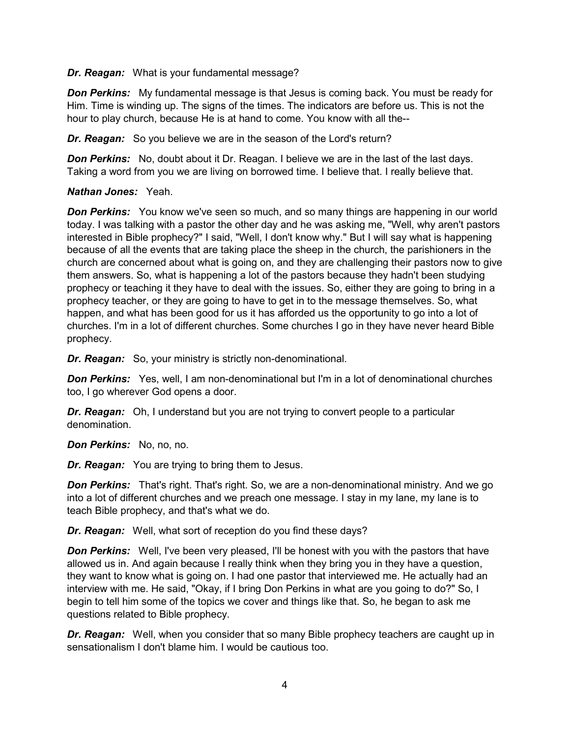*Dr. Reagan:* What is your fundamental message?

*Don Perkins:* My fundamental message is that Jesus is coming back. You must be ready for Him. Time is winding up. The signs of the times. The indicators are before us. This is not the hour to play church, because He is at hand to come. You know with all the--

*Dr. Reagan:* So you believe we are in the season of the Lord's return?

**Don Perkins:** No, doubt about it Dr. Reagan. I believe we are in the last of the last days. Taking a word from you we are living on borrowed time. I believe that. I really believe that.

#### *Nathan Jones:* Yeah.

*Don Perkins:* You know we've seen so much, and so many things are happening in our world today. I was talking with a pastor the other day and he was asking me, "Well, why aren't pastors interested in Bible prophecy?" I said, "Well, I don't know why." But I will say what is happening because of all the events that are taking place the sheep in the church, the parishioners in the church are concerned about what is going on, and they are challenging their pastors now to give them answers. So, what is happening a lot of the pastors because they hadn't been studying prophecy or teaching it they have to deal with the issues. So, either they are going to bring in a prophecy teacher, or they are going to have to get in to the message themselves. So, what happen, and what has been good for us it has afforded us the opportunity to go into a lot of churches. I'm in a lot of different churches. Some churches I go in they have never heard Bible prophecy.

*Dr. Reagan:* So, your ministry is strictly non-denominational.

**Don Perkins:** Yes, well, I am non-denominational but I'm in a lot of denominational churches too, I go wherever God opens a door.

*Dr. Reagan:* Oh, I understand but you are not trying to convert people to a particular denomination.

*Don Perkins:* No, no, no.

*Dr. Reagan:* You are trying to bring them to Jesus.

**Don Perkins:** That's right. That's right. So, we are a non-denominational ministry. And we go into a lot of different churches and we preach one message. I stay in my lane, my lane is to teach Bible prophecy, and that's what we do.

*Dr. Reagan:* Well, what sort of reception do you find these days?

**Don Perkins:** Well, I've been very pleased, I'll be honest with you with the pastors that have allowed us in. And again because I really think when they bring you in they have a question, they want to know what is going on. I had one pastor that interviewed me. He actually had an interview with me. He said, "Okay, if I bring Don Perkins in what are you going to do?" So, I begin to tell him some of the topics we cover and things like that. So, he began to ask me questions related to Bible prophecy.

*Dr. Reagan:* Well, when you consider that so many Bible prophecy teachers are caught up in sensationalism I don't blame him. I would be cautious too.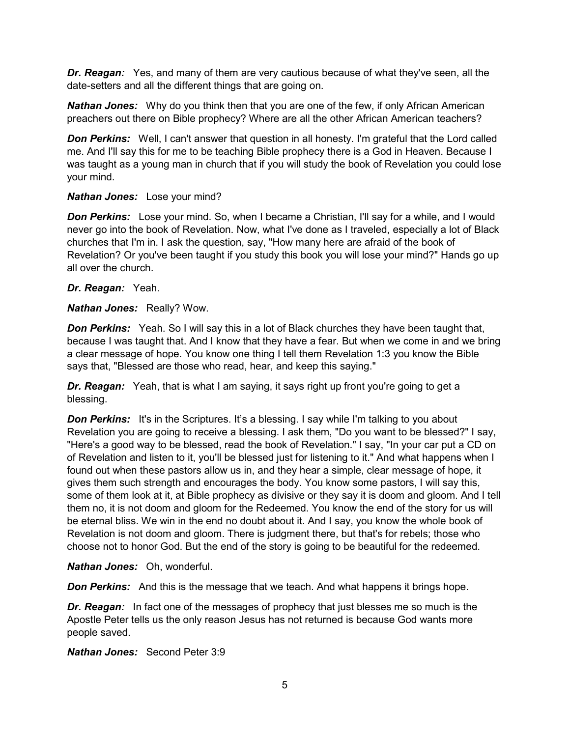*Dr. Reagan:* Yes, and many of them are very cautious because of what they've seen, all the date-setters and all the different things that are going on.

*Nathan Jones:* Why do you think then that you are one of the few, if only African American preachers out there on Bible prophecy? Where are all the other African American teachers?

**Don Perkins:** Well, I can't answer that question in all honesty. I'm grateful that the Lord called me. And I'll say this for me to be teaching Bible prophecy there is a God in Heaven. Because I was taught as a young man in church that if you will study the book of Revelation you could lose your mind.

#### *Nathan Jones:* Lose your mind?

**Don Perkins:** Lose your mind. So, when I became a Christian, I'll say for a while, and I would never go into the book of Revelation. Now, what I've done as I traveled, especially a lot of Black churches that I'm in. I ask the question, say, "How many here are afraid of the book of Revelation? Or you've been taught if you study this book you will lose your mind?" Hands go up all over the church.

*Dr. Reagan:* Yeah.

*Nathan Jones:* Really? Wow.

**Don Perkins:** Yeah. So I will say this in a lot of Black churches they have been taught that, because I was taught that. And I know that they have a fear. But when we come in and we bring a clear message of hope. You know one thing I tell them Revelation 1:3 you know the Bible says that, "Blessed are those who read, hear, and keep this saying."

**Dr. Reagan:** Yeah, that is what I am saying, it says right up front you're going to get a blessing.

**Don Perkins:** It's in the Scriptures. It's a blessing. I say while I'm talking to you about Revelation you are going to receive a blessing. I ask them, "Do you want to be blessed?" I say, "Here's a good way to be blessed, read the book of Revelation." I say, "In your car put a CD on of Revelation and listen to it, you'll be blessed just for listening to it." And what happens when I found out when these pastors allow us in, and they hear a simple, clear message of hope, it gives them such strength and encourages the body. You know some pastors, I will say this, some of them look at it, at Bible prophecy as divisive or they say it is doom and gloom. And I tell them no, it is not doom and gloom for the Redeemed. You know the end of the story for us will be eternal bliss. We win in the end no doubt about it. And I say, you know the whole book of Revelation is not doom and gloom. There is judgment there, but that's for rebels; those who choose not to honor God. But the end of the story is going to be beautiful for the redeemed.

*Nathan Jones:* Oh, wonderful.

**Don Perkins:** And this is the message that we teach. And what happens it brings hope.

*Dr. Reagan:* In fact one of the messages of prophecy that just blesses me so much is the Apostle Peter tells us the only reason Jesus has not returned is because God wants more people saved.

*Nathan Jones:* Second Peter 3:9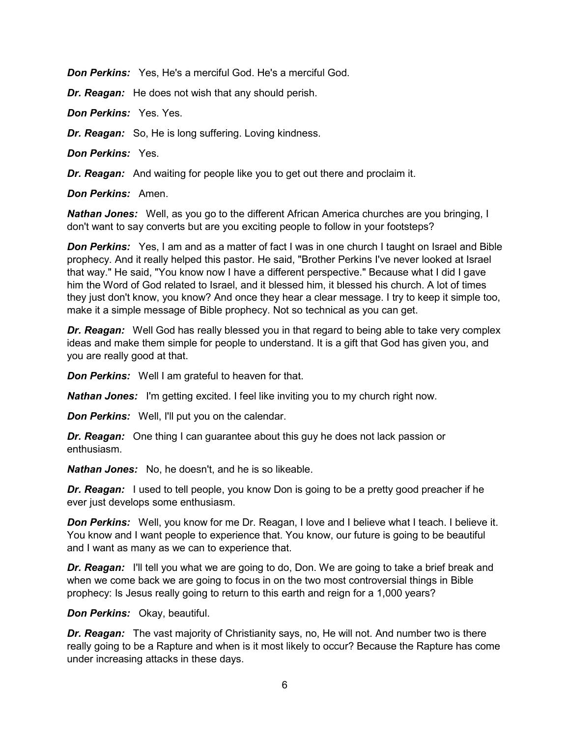*Don Perkins:* Yes, He's a merciful God. He's a merciful God.

*Dr. Reagan:* He does not wish that any should perish.

*Don Perkins:* Yes. Yes.

*Dr. Reagan:* So, He is long suffering. Loving kindness.

*Don Perkins:* Yes.

*Dr. Reagan:* And waiting for people like you to get out there and proclaim it.

*Don Perkins:* Amen.

*Nathan Jones:* Well, as you go to the different African America churches are you bringing, I don't want to say converts but are you exciting people to follow in your footsteps?

**Don Perkins:** Yes, I am and as a matter of fact I was in one church I taught on Israel and Bible prophecy. And it really helped this pastor. He said, "Brother Perkins I've never looked at Israel that way." He said, "You know now I have a different perspective." Because what I did I gave him the Word of God related to Israel, and it blessed him, it blessed his church. A lot of times they just don't know, you know? And once they hear a clear message. I try to keep it simple too, make it a simple message of Bible prophecy. Not so technical as you can get.

*Dr. Reagan:* Well God has really blessed you in that regard to being able to take very complex ideas and make them simple for people to understand. It is a gift that God has given you, and you are really good at that.

*Don Perkins:* Well I am grateful to heaven for that.

*Nathan Jones:* I'm getting excited. I feel like inviting you to my church right now.

*Don Perkins:* Well, I'll put you on the calendar.

*Dr. Reagan:* One thing I can guarantee about this guy he does not lack passion or enthusiasm.

*Nathan Jones:* No, he doesn't, and he is so likeable.

*Dr. Reagan:* I used to tell people, you know Don is going to be a pretty good preacher if he ever just develops some enthusiasm.

**Don Perkins:** Well, you know for me Dr. Reagan, I love and I believe what I teach. I believe it. You know and I want people to experience that. You know, our future is going to be beautiful and I want as many as we can to experience that.

**Dr. Reagan:** I'll tell you what we are going to do, Don. We are going to take a brief break and when we come back we are going to focus in on the two most controversial things in Bible prophecy: Is Jesus really going to return to this earth and reign for a 1,000 years?

*Don Perkins:* Okay, beautiful.

*Dr. Reagan:* The vast majority of Christianity says, no, He will not. And number two is there really going to be a Rapture and when is it most likely to occur? Because the Rapture has come under increasing attacks in these days.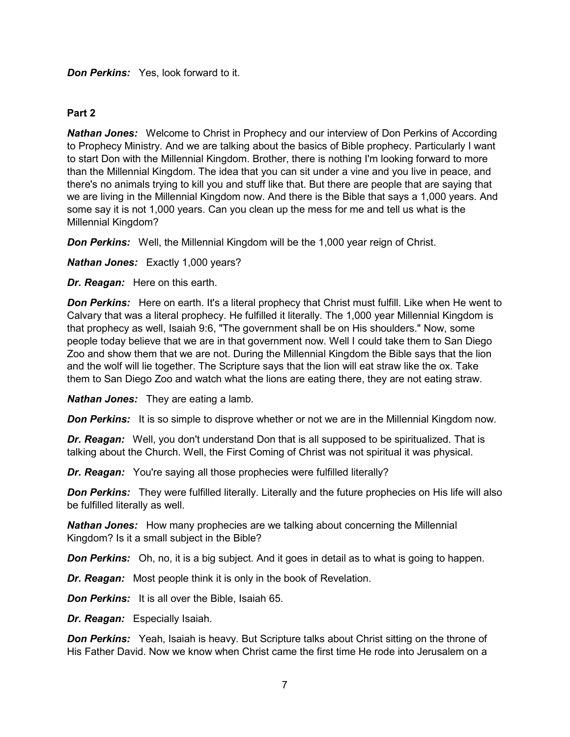## *Don Perkins:* Yes, look forward to it.

## **Part 2**

*Nathan Jones:* Welcome to Christ in Prophecy and our interview of Don Perkins of According to Prophecy Ministry. And we are talking about the basics of Bible prophecy. Particularly I want to start Don with the Millennial Kingdom. Brother, there is nothing I'm looking forward to more than the Millennial Kingdom. The idea that you can sit under a vine and you live in peace, and there's no animals trying to kill you and stuff like that. But there are people that are saying that we are living in the Millennial Kingdom now. And there is the Bible that says a 1,000 years. And some say it is not 1,000 years. Can you clean up the mess for me and tell us what is the Millennial Kingdom?

**Don Perkins:** Well, the Millennial Kingdom will be the 1,000 year reign of Christ.

*Nathan Jones:* Exactly 1,000 years?

*Dr. Reagan:* Here on this earth.

**Don Perkins:** Here on earth. It's a literal prophecy that Christ must fulfill. Like when He went to Calvary that was a literal prophecy. He fulfilled it literally. The 1,000 year Millennial Kingdom is that prophecy as well, Isaiah 9:6, "The government shall be on His shoulders." Now, some people today believe that we are in that government now. Well I could take them to San Diego Zoo and show them that we are not. During the Millennial Kingdom the Bible says that the lion and the wolf will lie together. The Scripture says that the lion will eat straw like the ox. Take them to San Diego Zoo and watch what the lions are eating there, they are not eating straw.

*Nathan Jones:* They are eating a lamb.

**Don Perkins:** It is so simple to disprove whether or not we are in the Millennial Kingdom now.

*Dr. Reagan:* Well, you don't understand Don that is all supposed to be spiritualized. That is talking about the Church. Well, the First Coming of Christ was not spiritual it was physical.

*Dr. Reagan:* You're saying all those prophecies were fulfilled literally?

**Don Perkins:** They were fulfilled literally. Literally and the future prophecies on His life will also be fulfilled literally as well.

*Nathan Jones:* How many prophecies are we talking about concerning the Millennial Kingdom? Is it a small subject in the Bible?

**Don Perkins:** Oh, no, it is a big subject. And it goes in detail as to what is going to happen.

*Dr. Reagan:* Most people think it is only in the book of Revelation.

*Don Perkins:* It is all over the Bible, Isaiah 65.

*Dr. Reagan:* Especially Isaiah.

**Don Perkins:** Yeah, Isaiah is heavy. But Scripture talks about Christ sitting on the throne of His Father David. Now we know when Christ came the first time He rode into Jerusalem on a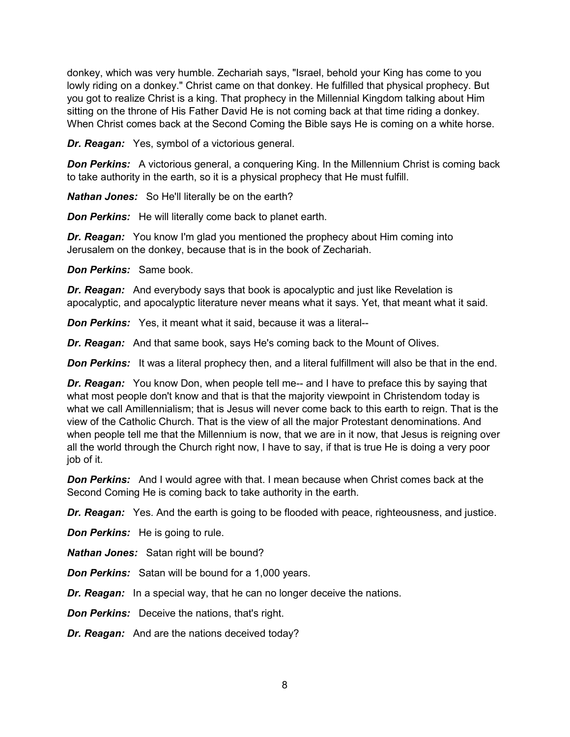donkey, which was very humble. Zechariah says, "Israel, behold your King has come to you lowly riding on a donkey." Christ came on that donkey. He fulfilled that physical prophecy. But you got to realize Christ is a king. That prophecy in the Millennial Kingdom talking about Him sitting on the throne of His Father David He is not coming back at that time riding a donkey. When Christ comes back at the Second Coming the Bible says He is coming on a white horse.

*Dr. Reagan:* Yes, symbol of a victorious general.

**Don Perkins:** A victorious general, a conquering King. In the Millennium Christ is coming back to take authority in the earth, so it is a physical prophecy that He must fulfill.

*Nathan Jones:* So He'll literally be on the earth?

*Don Perkins:* He will literally come back to planet earth.

*Dr. Reagan:* You know I'm glad you mentioned the prophecy about Him coming into Jerusalem on the donkey, because that is in the book of Zechariah.

*Don Perkins:* Same book.

*Dr. Reagan:* And everybody says that book is apocalyptic and just like Revelation is apocalyptic, and apocalyptic literature never means what it says. Yet, that meant what it said.

*Don Perkins:* Yes, it meant what it said, because it was a literal--

*Dr. Reagan:* And that same book, says He's coming back to the Mount of Olives.

**Don Perkins:** It was a literal prophecy then, and a literal fulfillment will also be that in the end.

**Dr. Reagan:** You know Don, when people tell me-- and I have to preface this by saying that what most people don't know and that is that the majority viewpoint in Christendom today is what we call Amillennialism; that is Jesus will never come back to this earth to reign. That is the view of the Catholic Church. That is the view of all the major Protestant denominations. And when people tell me that the Millennium is now, that we are in it now, that Jesus is reigning over all the world through the Church right now, I have to say, if that is true He is doing a very poor job of it.

**Don Perkins:** And I would agree with that. I mean because when Christ comes back at the Second Coming He is coming back to take authority in the earth.

*Dr. Reagan:* Yes. And the earth is going to be flooded with peace, righteousness, and justice.

*Don Perkins:* He is going to rule.

*Nathan Jones:* Satan right will be bound?

*Don Perkins:* Satan will be bound for a 1,000 years.

*Dr. Reagan:* In a special way, that he can no longer deceive the nations.

*Don Perkins:* Deceive the nations, that's right.

*Dr. Reagan:* And are the nations deceived today?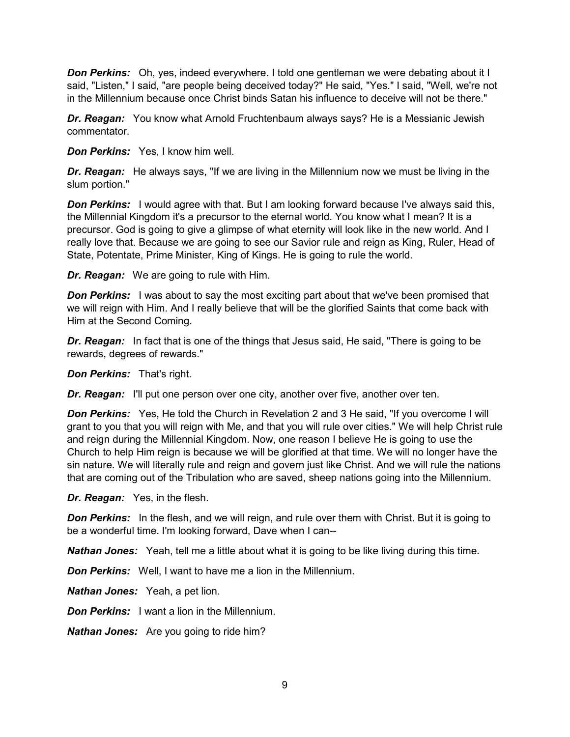*Don Perkins:* Oh, yes, indeed everywhere. I told one gentleman we were debating about it I said, "Listen," I said, "are people being deceived today?" He said, "Yes." I said, "Well, we're not in the Millennium because once Christ binds Satan his influence to deceive will not be there."

*Dr. Reagan:* You know what Arnold Fruchtenbaum always says? He is a Messianic Jewish commentator.

*Don Perkins:* Yes, I know him well.

*Dr. Reagan:* He always says, "If we are living in the Millennium now we must be living in the slum portion."

**Don Perkins:** I would agree with that. But I am looking forward because I've always said this, the Millennial Kingdom it's a precursor to the eternal world. You know what I mean? It is a precursor. God is going to give a glimpse of what eternity will look like in the new world. And I really love that. Because we are going to see our Savior rule and reign as King, Ruler, Head of State, Potentate, Prime Minister, King of Kings. He is going to rule the world.

*Dr. Reagan:* We are going to rule with Him.

**Don Perkins:** I was about to say the most exciting part about that we've been promised that we will reign with Him. And I really believe that will be the glorified Saints that come back with Him at the Second Coming.

*Dr. Reagan:* In fact that is one of the things that Jesus said, He said, "There is going to be rewards, degrees of rewards."

*Don Perkins:* That's right.

**Dr. Reagan:** I'll put one person over one city, another over five, another over ten.

**Don Perkins:** Yes, He told the Church in Revelation 2 and 3 He said, "If you overcome I will grant to you that you will reign with Me, and that you will rule over cities." We will help Christ rule and reign during the Millennial Kingdom. Now, one reason I believe He is going to use the Church to help Him reign is because we will be glorified at that time. We will no longer have the sin nature. We will literally rule and reign and govern just like Christ. And we will rule the nations that are coming out of the Tribulation who are saved, sheep nations going into the Millennium.

*Dr. Reagan:* Yes, in the flesh.

**Don Perkins:** In the flesh, and we will reign, and rule over them with Christ. But it is going to be a wonderful time. I'm looking forward, Dave when I can--

*Nathan Jones:* Yeah, tell me a little about what it is going to be like living during this time.

*Don Perkins:* Well, I want to have me a lion in the Millennium.

*Nathan Jones:* Yeah, a pet lion.

*Don Perkins:* I want a lion in the Millennium.

*Nathan Jones:* Are you going to ride him?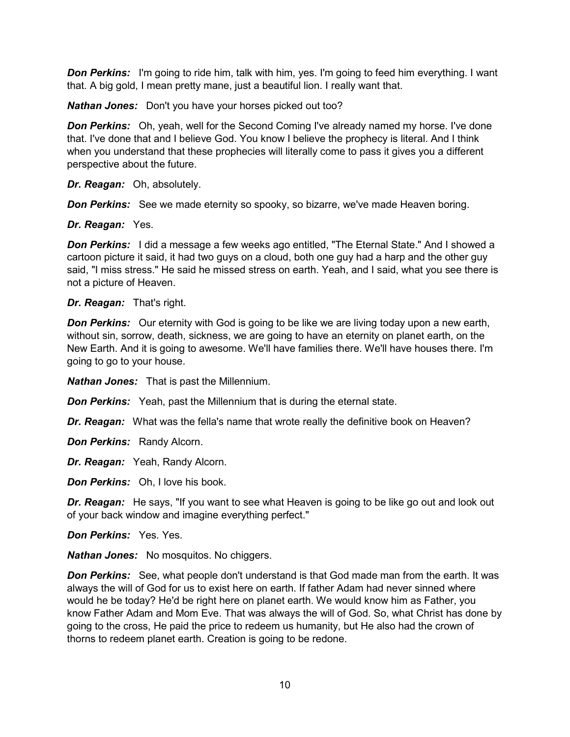**Don Perkins:** I'm going to ride him, talk with him, yes. I'm going to feed him everything. I want that. A big gold, I mean pretty mane, just a beautiful lion. I really want that.

*Nathan Jones:* Don't you have your horses picked out too?

*Don Perkins:* Oh, yeah, well for the Second Coming I've already named my horse. I've done that. I've done that and I believe God. You know I believe the prophecy is literal. And I think when you understand that these prophecies will literally come to pass it gives you a different perspective about the future.

*Dr. Reagan:* Oh, absolutely.

**Don Perkins:** See we made eternity so spooky, so bizarre, we've made Heaven boring.

*Dr. Reagan:* Yes.

**Don Perkins:** I did a message a few weeks ago entitled, "The Eternal State." And I showed a cartoon picture it said, it had two guys on a cloud, both one guy had a harp and the other guy said, "I miss stress." He said he missed stress on earth. Yeah, and I said, what you see there is not a picture of Heaven.

*Dr. Reagan:* That's right.

**Don Perkins:** Our eternity with God is going to be like we are living today upon a new earth, without sin, sorrow, death, sickness, we are going to have an eternity on planet earth, on the New Earth. And it is going to awesome. We'll have families there. We'll have houses there. I'm going to go to your house.

*Nathan Jones:* That is past the Millennium.

*Don Perkins:* Yeah, past the Millennium that is during the eternal state.

*Dr. Reagan:* What was the fella's name that wrote really the definitive book on Heaven?

*Don Perkins:* Randy Alcorn.

*Dr. Reagan:* Yeah, Randy Alcorn.

*Don Perkins:* Oh, I love his book.

*Dr. Reagan:* He says, "If you want to see what Heaven is going to be like go out and look out of your back window and imagine everything perfect."

*Don Perkins:* Yes. Yes.

*Nathan Jones:* No mosquitos. No chiggers.

**Don Perkins:** See, what people don't understand is that God made man from the earth. It was always the will of God for us to exist here on earth. If father Adam had never sinned where would he be today? He'd be right here on planet earth. We would know him as Father, you know Father Adam and Mom Eve. That was always the will of God. So, what Christ has done by going to the cross, He paid the price to redeem us humanity, but He also had the crown of thorns to redeem planet earth. Creation is going to be redone.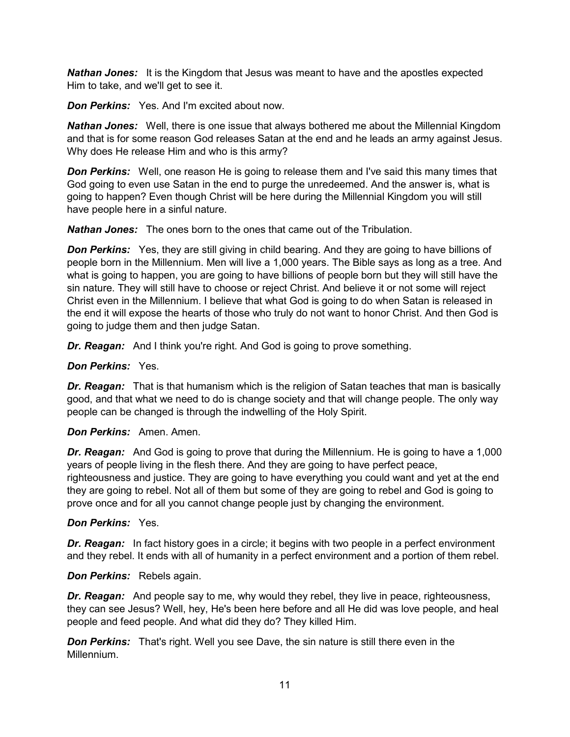*Nathan Jones:* It is the Kingdom that Jesus was meant to have and the apostles expected Him to take, and we'll get to see it.

*Don Perkins:* Yes. And I'm excited about now.

*Nathan Jones:* Well, there is one issue that always bothered me about the Millennial Kingdom and that is for some reason God releases Satan at the end and he leads an army against Jesus. Why does He release Him and who is this army?

**Don Perkins:** Well, one reason He is going to release them and I've said this many times that God going to even use Satan in the end to purge the unredeemed. And the answer is, what is going to happen? Even though Christ will be here during the Millennial Kingdom you will still have people here in a sinful nature.

*Nathan Jones:* The ones born to the ones that came out of the Tribulation.

**Don Perkins:** Yes, they are still giving in child bearing. And they are going to have billions of people born in the Millennium. Men will live a 1,000 years. The Bible says as long as a tree. And what is going to happen, you are going to have billions of people born but they will still have the sin nature. They will still have to choose or reject Christ. And believe it or not some will reject Christ even in the Millennium. I believe that what God is going to do when Satan is released in the end it will expose the hearts of those who truly do not want to honor Christ. And then God is going to judge them and then judge Satan.

**Dr. Reagan:** And I think you're right. And God is going to prove something.

#### *Don Perkins:* Yes.

*Dr. Reagan:* That is that humanism which is the religion of Satan teaches that man is basically good, and that what we need to do is change society and that will change people. The only way people can be changed is through the indwelling of the Holy Spirit.

*Don Perkins:* Amen. Amen.

*Dr. Reagan:* And God is going to prove that during the Millennium. He is going to have a 1,000 years of people living in the flesh there. And they are going to have perfect peace, righteousness and justice. They are going to have everything you could want and yet at the end they are going to rebel. Not all of them but some of they are going to rebel and God is going to prove once and for all you cannot change people just by changing the environment.

#### *Don Perkins:* Yes.

*Dr. Reagan:* In fact history goes in a circle; it begins with two people in a perfect environment and they rebel. It ends with all of humanity in a perfect environment and a portion of them rebel.

#### *Don Perkins:* Rebels again.

*Dr. Reagan:* And people say to me, why would they rebel, they live in peace, righteousness, they can see Jesus? Well, hey, He's been here before and all He did was love people, and heal people and feed people. And what did they do? They killed Him.

**Don Perkins:** That's right. Well you see Dave, the sin nature is still there even in the Millennium.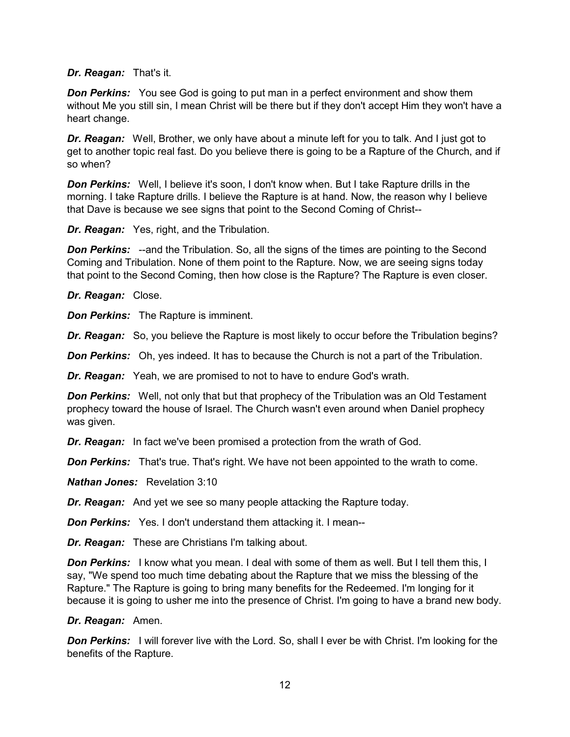#### *Dr. Reagan:* That's it.

**Don Perkins:** You see God is going to put man in a perfect environment and show them without Me you still sin, I mean Christ will be there but if they don't accept Him they won't have a heart change.

*Dr. Reagan:* Well, Brother, we only have about a minute left for you to talk. And I just got to get to another topic real fast. Do you believe there is going to be a Rapture of the Church, and if so when?

**Don Perkins:** Well, I believe it's soon, I don't know when. But I take Rapture drills in the morning. I take Rapture drills. I believe the Rapture is at hand. Now, the reason why I believe that Dave is because we see signs that point to the Second Coming of Christ--

*Dr. Reagan:* Yes, right, and the Tribulation.

**Don Perkins:** --and the Tribulation. So, all the signs of the times are pointing to the Second Coming and Tribulation. None of them point to the Rapture. Now, we are seeing signs today that point to the Second Coming, then how close is the Rapture? The Rapture is even closer.

*Dr. Reagan:* Close.

*Don Perkins:* The Rapture is imminent.

**Dr. Reagan:** So, you believe the Rapture is most likely to occur before the Tribulation begins?

**Don Perkins:** Oh, yes indeed. It has to because the Church is not a part of the Tribulation.

*Dr. Reagan:* Yeah, we are promised to not to have to endure God's wrath.

**Don Perkins:** Well, not only that but that prophecy of the Tribulation was an Old Testament prophecy toward the house of Israel. The Church wasn't even around when Daniel prophecy was given.

*Dr. Reagan:* In fact we've been promised a protection from the wrath of God.

**Don Perkins:** That's true. That's right. We have not been appointed to the wrath to come.

*Nathan Jones:* Revelation 3:10

*Dr. Reagan:* And yet we see so many people attacking the Rapture today.

*Don Perkins:* Yes. I don't understand them attacking it. I mean--

*Dr. Reagan:* These are Christians I'm talking about.

**Don Perkins:** I know what you mean. I deal with some of them as well. But I tell them this, I say, "We spend too much time debating about the Rapture that we miss the blessing of the Rapture." The Rapture is going to bring many benefits for the Redeemed. I'm longing for it because it is going to usher me into the presence of Christ. I'm going to have a brand new body.

#### *Dr. Reagan:* Amen.

**Don Perkins:** I will forever live with the Lord. So, shall I ever be with Christ. I'm looking for the benefits of the Rapture.